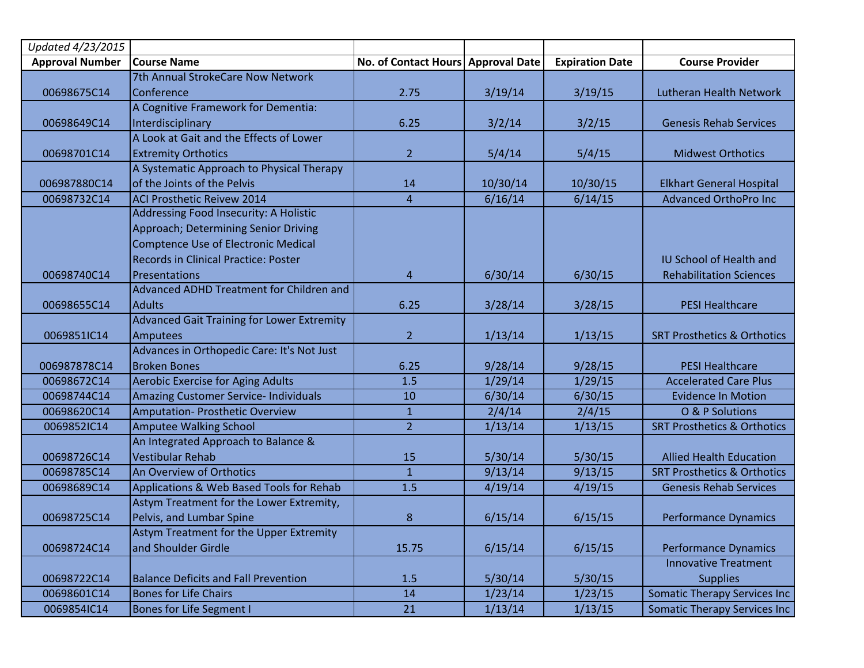| Updated 4/23/2015      |                                                   |                                    |          |                        |                                        |
|------------------------|---------------------------------------------------|------------------------------------|----------|------------------------|----------------------------------------|
| <b>Approval Number</b> | <b>Course Name</b>                                | No. of Contact Hours Approval Date |          | <b>Expiration Date</b> | <b>Course Provider</b>                 |
|                        | 7th Annual StrokeCare Now Network                 |                                    |          |                        |                                        |
| 00698675C14            | Conference                                        | 2.75                               | 3/19/14  | 3/19/15                | Lutheran Health Network                |
|                        | A Cognitive Framework for Dementia:               |                                    |          |                        |                                        |
| 00698649C14            | Interdisciplinary                                 | 6.25                               | 3/2/14   | 3/2/15                 | <b>Genesis Rehab Services</b>          |
|                        | A Look at Gait and the Effects of Lower           |                                    |          |                        |                                        |
| 00698701C14            | <b>Extremity Orthotics</b>                        | $\overline{2}$                     | 5/4/14   | 5/4/15                 | <b>Midwest Orthotics</b>               |
|                        | A Systematic Approach to Physical Therapy         |                                    |          |                        |                                        |
| 006987880C14           | of the Joints of the Pelvis                       | 14                                 | 10/30/14 | 10/30/15               | <b>Elkhart General Hospital</b>        |
| 00698732C14            | <b>ACI Prosthetic Reivew 2014</b>                 | $\overline{4}$                     | 6/16/14  | 6/14/15                | <b>Advanced OrthoPro Inc</b>           |
|                        | Addressing Food Insecurity: A Holistic            |                                    |          |                        |                                        |
|                        | Approach; Determining Senior Driving              |                                    |          |                        |                                        |
|                        | <b>Comptence Use of Electronic Medical</b>        |                                    |          |                        |                                        |
|                        | <b>Records in Clinical Practice: Poster</b>       |                                    |          |                        | <b>IU School of Health and</b>         |
| 00698740C14            | Presentations                                     | 4                                  | 6/30/14  | 6/30/15                | <b>Rehabilitation Sciences</b>         |
|                        | Advanced ADHD Treatment for Children and          |                                    |          |                        |                                        |
| 00698655C14            | <b>Adults</b>                                     | 6.25                               | 3/28/14  | 3/28/15                | <b>PESI Healthcare</b>                 |
|                        | <b>Advanced Gait Training for Lower Extremity</b> |                                    |          |                        |                                        |
| 0069851IC14            | Amputees                                          | $\overline{2}$                     | 1/13/14  | 1/13/15                | <b>SRT Prosthetics &amp; Orthotics</b> |
|                        | Advances in Orthopedic Care: It's Not Just        |                                    |          |                        |                                        |
| 006987878C14           | <b>Broken Bones</b>                               | 6.25                               | 9/28/14  | 9/28/15                | <b>PESI Healthcare</b>                 |
| 00698672C14            | <b>Aerobic Exercise for Aging Adults</b>          | 1.5                                | 1/29/14  | 1/29/15                | <b>Accelerated Care Plus</b>           |
| 00698744C14            | <b>Amazing Customer Service- Individuals</b>      | 10                                 | 6/30/14  | 6/30/15                | <b>Evidence In Motion</b>              |
| 00698620C14            | Amputation- Prosthetic Overview                   | $\mathbf{1}$                       | 2/4/14   | 2/4/15                 | O & P Solutions                        |
| 0069852IC14            | Amputee Walking School                            | $\overline{2}$                     | 1/13/14  | 1/13/15                | <b>SRT Prosthetics &amp; Orthotics</b> |
|                        | An Integrated Approach to Balance &               |                                    |          |                        |                                        |
| 00698726C14            | <b>Vestibular Rehab</b>                           | 15                                 | 5/30/14  | 5/30/15                | <b>Allied Health Education</b>         |
| 00698785C14            | An Overview of Orthotics                          | $\mathbf{1}$                       | 9/13/14  | 9/13/15                | <b>SRT Prosthetics &amp; Orthotics</b> |
| 00698689C14            | Applications & Web Based Tools for Rehab          | 1.5                                | 4/19/14  | 4/19/15                | <b>Genesis Rehab Services</b>          |
|                        | Astym Treatment for the Lower Extremity,          |                                    |          |                        |                                        |
| 00698725C14            | Pelvis, and Lumbar Spine                          | 8                                  | 6/15/14  | 6/15/15                | <b>Performance Dynamics</b>            |
|                        | Astym Treatment for the Upper Extremity           |                                    |          |                        |                                        |
| 00698724C14            | and Shoulder Girdle                               | 15.75                              | 6/15/14  | 6/15/15                | <b>Performance Dynamics</b>            |
|                        |                                                   |                                    |          |                        | <b>Innovative Treatment</b>            |
| 00698722C14            | <b>Balance Deficits and Fall Prevention</b>       | 1.5                                | 5/30/14  | 5/30/15                | <b>Supplies</b>                        |
| 00698601C14            | <b>Bones for Life Chairs</b>                      | 14                                 | 1/23/14  | 1/23/15                | <b>Somatic Therapy Services Inc</b>    |
| 0069854IC14            | <b>Bones for Life Segment I</b>                   | 21                                 | 1/13/14  | 1/13/15                | Somatic Therapy Services Inc           |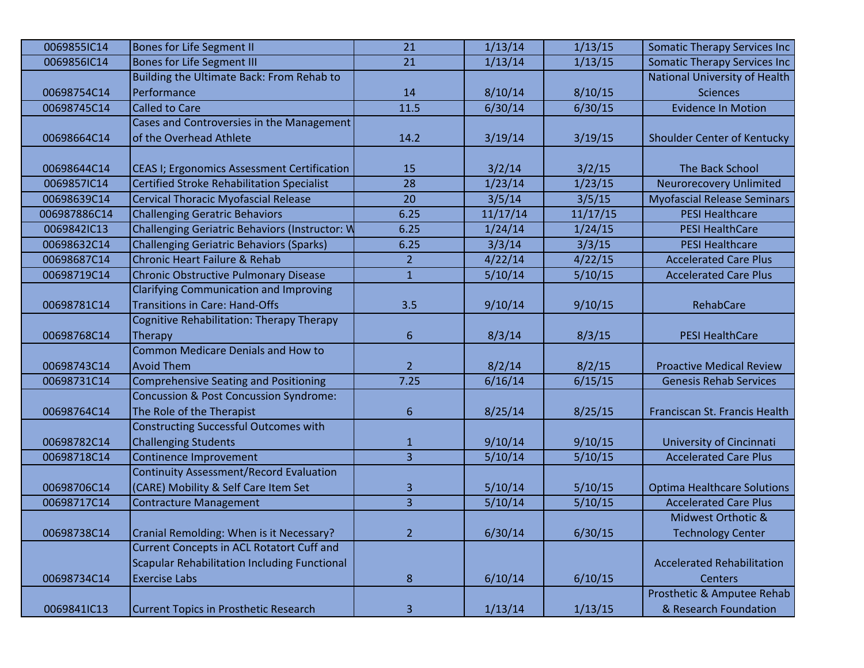| <b>Bones for Life Segment II</b>                    | 21             | 1/13/14                                        | 1/13/15  | <b>Somatic Therapy Services Inc</b> |
|-----------------------------------------------------|----------------|------------------------------------------------|----------|-------------------------------------|
| <b>Bones for Life Segment III</b>                   | 21             | 1/13/14                                        | 1/13/15  | Somatic Therapy Services Inc        |
| Building the Ultimate Back: From Rehab to           |                |                                                |          | National University of Health       |
| Performance                                         | 14             | 8/10/14                                        | 8/10/15  | <b>Sciences</b>                     |
| <b>Called to Care</b>                               | 11.5           | 6/30/14                                        | 6/30/15  | <b>Evidence In Motion</b>           |
| Cases and Controversies in the Management           |                |                                                |          |                                     |
| of the Overhead Athlete                             | 14.2           | 3/19/14                                        | 3/19/15  | Shoulder Center of Kentucky         |
|                                                     |                |                                                |          |                                     |
| CEAS I; Ergonomics Assessment Certification         | 15             | 3/2/14                                         | 3/2/15   | The Back School                     |
| <b>Certified Stroke Rehabilitation Specialist</b>   | 28             | 1/23/14                                        | 1/23/15  | <b>Neurorecovery Unlimited</b>      |
| <b>Cervical Thoracic Myofascial Release</b>         | 20             | 3/5/14                                         | 3/5/15   | <b>Myofascial Release Seminars</b>  |
| <b>Challenging Geratric Behaviors</b>               | 6.25           | 11/17/14                                       | 11/17/15 | <b>PESI Healthcare</b>              |
|                                                     | 6.25           | 1/24/14                                        | 1/24/15  | <b>PESI HealthCare</b>              |
| <b>Challenging Geriatric Behaviors (Sparks)</b>     | 6.25           | 3/3/14                                         | 3/3/15   | <b>PESI Healthcare</b>              |
| <b>Chronic Heart Failure &amp; Rehab</b>            | $\overline{2}$ | 4/22/14                                        | 4/22/15  | <b>Accelerated Care Plus</b>        |
| <b>Chronic Obstructive Pulmonary Disease</b>        | $\mathbf{1}$   | 5/10/14                                        | 5/10/15  | <b>Accelerated Care Plus</b>        |
| <b>Clarifying Communication and Improving</b>       |                |                                                |          |                                     |
| <b>Transitions in Care: Hand-Offs</b>               | 3.5            | 9/10/14                                        | 9/10/15  | RehabCare                           |
| Cognitive Rehabilitation: Therapy Therapy           |                |                                                |          |                                     |
| <b>Therapy</b>                                      | 6              | 8/3/14                                         | 8/3/15   | <b>PESI HealthCare</b>              |
| <b>Common Medicare Denials and How to</b>           |                |                                                |          |                                     |
| Avoid Them                                          | $\overline{2}$ | 8/2/14                                         | 8/2/15   | <b>Proactive Medical Review</b>     |
| <b>Comprehensive Seating and Positioning</b>        | 7.25           | 6/16/14                                        | 6/15/15  | <b>Genesis Rehab Services</b>       |
| <b>Concussion &amp; Post Concussion Syndrome:</b>   |                |                                                |          |                                     |
| The Role of the Therapist                           | 6              | 8/25/14                                        | 8/25/15  | Franciscan St. Francis Health       |
| <b>Constructing Successful Outcomes with</b>        |                |                                                |          |                                     |
| <b>Challenging Students</b>                         | 1              | 9/10/14                                        | 9/10/15  | University of Cincinnati            |
| <b>Continence Improvement</b>                       | 3              | 5/10/14                                        | 5/10/15  | <b>Accelerated Care Plus</b>        |
| <b>Continuity Assessment/Record Evaluation</b>      |                |                                                |          |                                     |
| (CARE) Mobility & Self Care Item Set                | 3              | 5/10/14                                        | 5/10/15  | <b>Optima Healthcare Solutions</b>  |
| <b>Contracture Management</b>                       | $\overline{3}$ | 5/10/14                                        | 5/10/15  | <b>Accelerated Care Plus</b>        |
|                                                     |                |                                                |          | Midwest Orthotic &                  |
| Cranial Remolding: When is it Necessary?            | $\overline{2}$ | 6/30/14                                        | 6/30/15  | <b>Technology Center</b>            |
| <b>Current Concepts in ACL Rotatort Cuff and</b>    |                |                                                |          |                                     |
| <b>Scapular Rehabilitation Including Functional</b> |                |                                                |          | <b>Accelerated Rehabilitation</b>   |
| <b>Exercise Labs</b>                                | $\bf 8$        | 6/10/14                                        | 6/10/15  | <b>Centers</b>                      |
|                                                     |                |                                                |          | Prosthetic & Amputee Rehab          |
| <b>Current Topics in Prosthetic Research</b>        | 3              | 1/13/14                                        | 1/13/15  | & Research Foundation               |
|                                                     |                | Challenging Geriatric Behaviors (Instructor: W |          |                                     |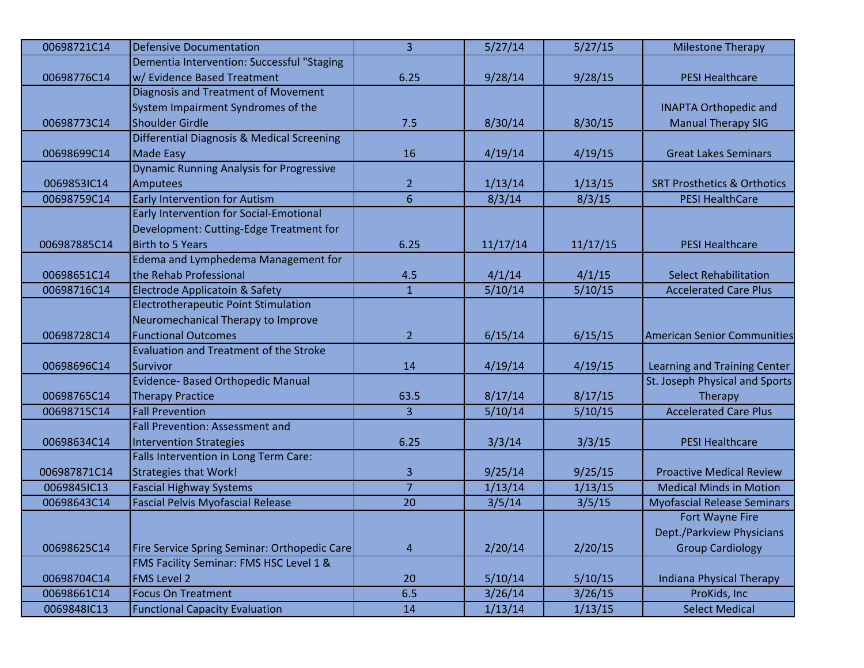| 00698721C14  | <b>Defensive Documentation</b>                  | $\overline{3}$ | 5/27/14  | 5/27/15  | <b>Milestone Therapy</b>               |
|--------------|-------------------------------------------------|----------------|----------|----------|----------------------------------------|
|              | Dementia Intervention: Successful "Staging      |                |          |          |                                        |
| 00698776C14  | w/ Evidence Based Treatment                     | 6.25           | 9/28/14  | 9/28/15  | <b>PESI Healthcare</b>                 |
|              | Diagnosis and Treatment of Movement             |                |          |          |                                        |
|              | System Impairment Syndromes of the              |                |          |          | <b>INAPTA Orthopedic and</b>           |
| 00698773C14  | Shoulder Girdle                                 | 7.5            | 8/30/14  | 8/30/15  | <b>Manual Therapy SIG</b>              |
|              | Differential Diagnosis & Medical Screening      |                |          |          |                                        |
| 00698699C14  | Made Easy                                       | 16             | 4/19/14  | 4/19/15  | <b>Great Lakes Seminars</b>            |
|              | <b>Dynamic Running Analysis for Progressive</b> |                |          |          |                                        |
| 0069853IC14  | Amputees                                        | $\overline{2}$ | 1/13/14  | 1/13/15  | <b>SRT Prosthetics &amp; Orthotics</b> |
| 00698759C14  | <b>Early Intervention for Autism</b>            | 6              | 8/3/14   | 8/3/15   | <b>PESI HealthCare</b>                 |
|              | Early Intervention for Social-Emotional         |                |          |          |                                        |
|              | Development: Cutting-Edge Treatment for         |                |          |          |                                        |
| 006987885C14 | Birth to 5 Years                                | 6.25           | 11/17/14 | 11/17/15 | <b>PESI Healthcare</b>                 |
|              | Edema and Lymphedema Management for             |                |          |          |                                        |
| 00698651C14  | the Rehab Professional                          | 4.5            | 4/1/14   | 4/1/15   | <b>Select Rehabilitation</b>           |
| 00698716C14  | Electrode Applicatoin & Safety                  | $\mathbf{1}$   | 5/10/14  | 5/10/15  | <b>Accelerated Care Plus</b>           |
|              | <b>Electrotherapeutic Point Stimulation</b>     |                |          |          |                                        |
|              | Neuromechanical Therapy to Improve              |                |          |          |                                        |
| 00698728C14  | <b>Functional Outcomes</b>                      | $\overline{2}$ | 6/15/14  | 6/15/15  | <b>American Senior Communities</b>     |
|              | <b>Evaluation and Treatment of the Stroke</b>   |                |          |          |                                        |
| 00698696C14  | Survivor                                        | 14             | 4/19/14  | 4/19/15  | Learning and Training Center           |
|              | Evidence- Based Orthopedic Manual               |                |          |          | St. Joseph Physical and Sports         |
| 00698765C14  | <b>Therapy Practice</b>                         | 63.5           | 8/17/14  | 8/17/15  | Therapy                                |
| 00698715C14  | <b>Fall Prevention</b>                          | 3              | 5/10/14  | 5/10/15  | <b>Accelerated Care Plus</b>           |
|              | <b>Fall Prevention: Assessment and</b>          |                |          |          |                                        |
| 00698634C14  | Intervention Strategies                         | 6.25           | 3/3/14   | 3/3/15   | <b>PESI Healthcare</b>                 |
|              | Falls Intervention in Long Term Care:           |                |          |          |                                        |
| 006987871C14 | Strategies that Work!                           | 3              | 9/25/14  | 9/25/15  | <b>Proactive Medical Review</b>        |
| 0069845IC13  | <b>Fascial Highway Systems</b>                  | $\overline{7}$ | 1/13/14  | 1/13/15  | <b>Medical Minds in Motion</b>         |
| 00698643C14  | <b>Fascial Pelvis Myofascial Release</b>        | 20             | 3/5/14   | 3/5/15   | <b>Myofascial Release Seminars</b>     |
|              |                                                 |                |          |          | Fort Wayne Fire                        |
|              |                                                 |                |          |          | Dept./Parkview Physicians              |
| 00698625C14  | Fire Service Spring Seminar: Orthopedic Care    | $\overline{4}$ | 2/20/14  | 2/20/15  | <b>Group Cardiology</b>                |
|              | FMS Facility Seminar: FMS HSC Level 1 &         |                |          |          |                                        |
| 00698704C14  | <b>FMS</b> Level 2                              | 20             | 5/10/14  | 5/10/15  | <b>Indiana Physical Therapy</b>        |
| 00698661C14  | Focus On Treatment                              | 6.5            | 3/26/14  | 3/26/15  | ProKids, Inc                           |
| 0069848IC13  | <b>Functional Capacity Evaluation</b>           | 14             | 1/13/14  | 1/13/15  | <b>Select Medical</b>                  |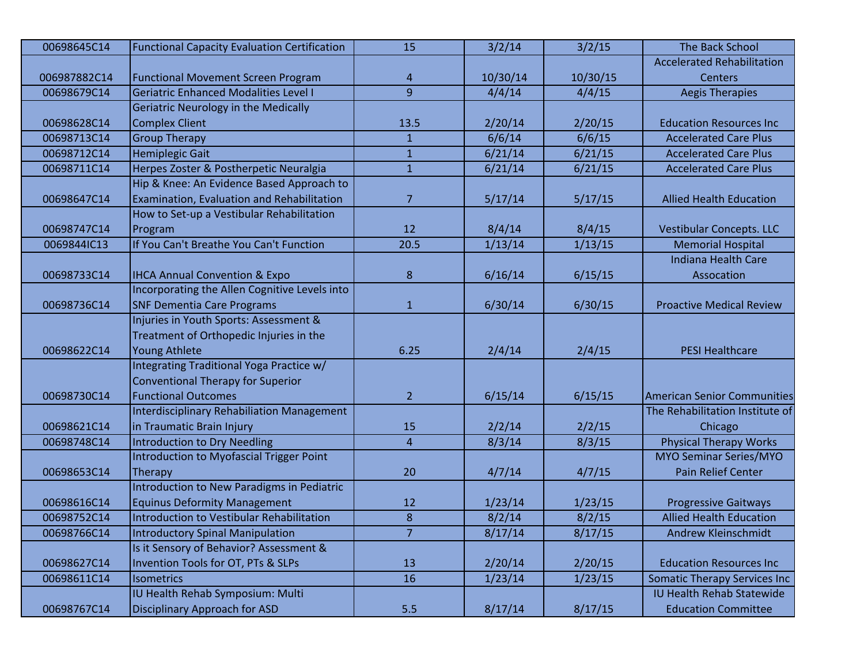| 00698645C14  | <b>Functional Capacity Evaluation Certification</b> | 15             | 3/2/14   | 3/2/15   | The Back School                      |
|--------------|-----------------------------------------------------|----------------|----------|----------|--------------------------------------|
|              |                                                     |                |          |          | <b>Accelerated Rehabilitation</b>    |
| 006987882C14 | <b>Functional Movement Screen Program</b>           | 4              | 10/30/14 | 10/30/15 | Centers                              |
| 00698679C14  | Geriatric Enhanced Modalities Level I               | 9              | 4/4/14   | 4/4/15   | <b>Aegis Therapies</b>               |
|              | <b>Geriatric Neurology in the Medically</b>         |                |          |          |                                      |
| 00698628C14  | <b>Complex Client</b>                               | 13.5           | 2/20/14  | 2/20/15  | <b>Education Resources Inc</b>       |
| 00698713C14  | <b>Group Therapy</b>                                | $\mathbf{1}$   | 6/6/14   | 6/6/15   | <b>Accelerated Care Plus</b>         |
| 00698712C14  | <b>Hemiplegic Gait</b>                              | $\mathbf{1}$   | 6/21/14  | 6/21/15  | <b>Accelerated Care Plus</b>         |
| 00698711C14  | Herpes Zoster & Postherpetic Neuralgia              | $\mathbf{1}$   | 6/21/14  | 6/21/15  | <b>Accelerated Care Plus</b>         |
|              | Hip & Knee: An Evidence Based Approach to           |                |          |          |                                      |
| 00698647C14  | Examination, Evaluation and Rehabilitation          | $\overline{7}$ | 5/17/14  | 5/17/15  | <b>Allied Health Education</b>       |
|              | How to Set-up a Vestibular Rehabilitation           |                |          |          |                                      |
| 00698747C14  | Program                                             | 12             | 8/4/14   | 8/4/15   | Vestibular Concepts. LLC             |
| 0069844IC13  | If You Can't Breathe You Can't Function             | 20.5           | 1/13/14  | 1/13/15  | <b>Memorial Hospital</b>             |
|              |                                                     |                |          |          | <b>Indiana Health Care</b>           |
| 00698733C14  | <b>IHCA Annual Convention &amp; Expo</b>            | 8              | 6/16/14  | 6/15/15  | Assocation                           |
|              | Incorporating the Allen Cognitive Levels into       |                |          |          |                                      |
| 00698736C14  | <b>SNF Dementia Care Programs</b>                   | $\mathbf{1}$   | 6/30/14  | 6/30/15  | <b>Proactive Medical Review</b>      |
|              | Injuries in Youth Sports: Assessment &              |                |          |          |                                      |
|              | Treatment of Orthopedic Injuries in the             |                |          |          |                                      |
| 00698622C14  | Young Athlete                                       | 6.25           | 2/4/14   | 2/4/15   | <b>PESI Healthcare</b>               |
|              | Integrating Traditional Yoga Practice w/            |                |          |          |                                      |
|              | <b>Conventional Therapy for Superior</b>            |                |          |          |                                      |
| 00698730C14  | <b>Functional Outcomes</b>                          | $\overline{2}$ | 6/15/14  | 6/15/15  | <b>American Senior Communities</b>   |
|              | <b>Interdisciplinary Rehabiliation Management</b>   |                |          |          | The Rehabilitation Institute of      |
| 00698621C14  | in Traumatic Brain Injury                           | 15             | 2/2/14   | 2/2/15   | Chicago                              |
| 00698748C14  | Introduction to Dry Needling                        | $\overline{4}$ | 8/3/14   | 8/3/15   | <b>Physical Therapy Works</b>        |
|              | Introduction to Myofascial Trigger Point            |                |          |          | <b>MYO Seminar Series/MYO</b>        |
| 00698653C14  | Therapy                                             | 20             | 4/7/14   | 4/7/15   | Pain Relief Center                   |
|              | Introduction to New Paradigms in Pediatric          |                |          |          |                                      |
| 00698616C14  | <b>Equinus Deformity Management</b>                 | 12             | 1/23/14  | 1/23/15  | <b>Progressive Gaitways</b>          |
| 00698752C14  | Introduction to Vestibular Rehabilitation           | $\bf 8$        | 8/2/14   | 8/2/15   | <b>Allied Health Education</b>       |
| 00698766C14  | Introductory Spinal Manipulation                    | $\overline{7}$ | 8/17/14  | 8/17/15  | Andrew Kleinschmidt                  |
|              | Is it Sensory of Behavior? Assessment &             |                |          |          |                                      |
| 00698627C14  | Invention Tools for OT, PTs & SLPs                  | 13             | 2/20/14  | 2/20/15  | <b>Education Resources Inc</b>       |
| 00698611C14  | <b>Isometrics</b>                                   | 16             | 1/23/14  | 1/23/15  | <b>Somatic Therapy Services Inc.</b> |
|              | IU Health Rehab Symposium: Multi                    |                |          |          | <b>IU Health Rehab Statewide</b>     |
| 00698767C14  | Disciplinary Approach for ASD                       | 5.5            | 8/17/14  | 8/17/15  | <b>Education Committee</b>           |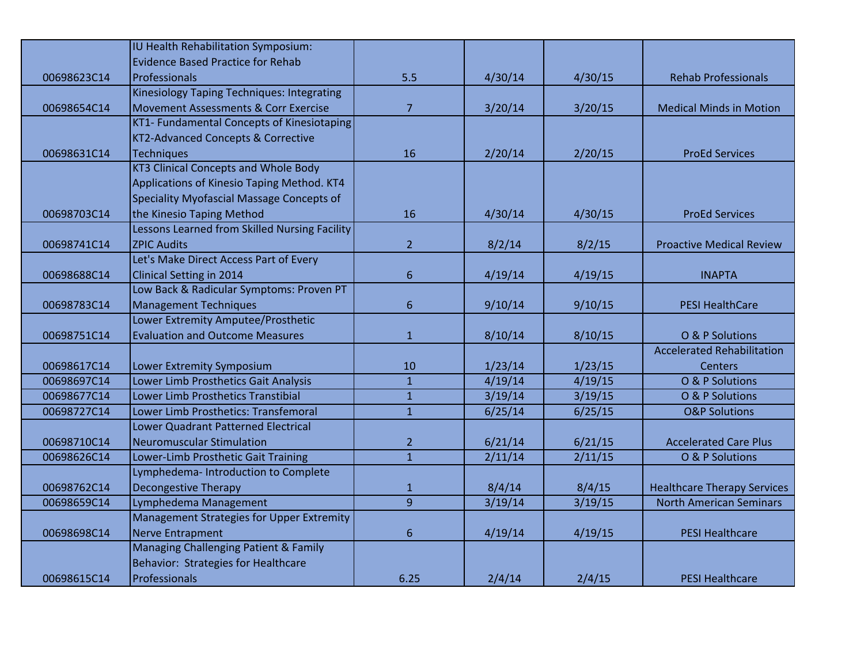|             | IU Health Rehabilitation Symposium:           |                |         |         |                                    |
|-------------|-----------------------------------------------|----------------|---------|---------|------------------------------------|
|             | <b>Evidence Based Practice for Rehab</b>      |                |         |         |                                    |
| 00698623C14 | Professionals                                 | 5.5            | 4/30/14 | 4/30/15 | <b>Rehab Professionals</b>         |
|             | Kinesiology Taping Techniques: Integrating    |                |         |         |                                    |
| 00698654C14 | Movement Assessments & Corr Exercise          | $\overline{7}$ | 3/20/14 | 3/20/15 | <b>Medical Minds in Motion</b>     |
|             | KT1- Fundamental Concepts of Kinesiotaping    |                |         |         |                                    |
|             | KT2-Advanced Concepts & Corrective            |                |         |         |                                    |
| 00698631C14 | Techniques                                    | 16             | 2/20/14 | 2/20/15 | <b>ProEd Services</b>              |
|             | <b>KT3 Clinical Concepts and Whole Body</b>   |                |         |         |                                    |
|             | Applications of Kinesio Taping Method. KT4    |                |         |         |                                    |
|             | Speciality Myofascial Massage Concepts of     |                |         |         |                                    |
| 00698703C14 | the Kinesio Taping Method                     | 16             | 4/30/14 | 4/30/15 | <b>ProEd Services</b>              |
|             | Lessons Learned from Skilled Nursing Facility |                |         |         |                                    |
| 00698741C14 | <b>ZPIC Audits</b>                            | $\overline{2}$ | 8/2/14  | 8/2/15  | <b>Proactive Medical Review</b>    |
|             | Let's Make Direct Access Part of Every        |                |         |         |                                    |
| 00698688C14 | Clinical Setting in 2014                      | $6\phantom{1}$ | 4/19/14 | 4/19/15 | <b>INAPTA</b>                      |
|             | Low Back & Radicular Symptoms: Proven PT      |                |         |         |                                    |
| 00698783C14 | <b>Management Techniques</b>                  | 6              | 9/10/14 | 9/10/15 | <b>PESI HealthCare</b>             |
|             | Lower Extremity Amputee/Prosthetic            |                |         |         |                                    |
| 00698751C14 | <b>Evaluation and Outcome Measures</b>        | $\mathbf{1}$   | 8/10/14 | 8/10/15 | O & P Solutions                    |
|             |                                               |                |         |         | <b>Accelerated Rehabilitation</b>  |
| 00698617C14 | Lower Extremity Symposium                     | 10             | 1/23/14 | 1/23/15 | <b>Centers</b>                     |
| 00698697C14 | Lower Limb Prosthetics Gait Analysis          | $\overline{1}$ | 4/19/14 | 4/19/15 | O & P Solutions                    |
| 00698677C14 | Lower Limb Prosthetics Transtibial            | $\mathbf{1}$   | 3/19/14 | 3/19/15 | O & P Solutions                    |
| 00698727C14 | Lower Limb Prosthetics: Transfemoral          | $\mathbf{1}$   | 6/25/14 | 6/25/15 | <b>O&amp;P Solutions</b>           |
|             | Lower Quadrant Patterned Electrical           |                |         |         |                                    |
| 00698710C14 | Neuromuscular Stimulation                     | $\overline{2}$ | 6/21/14 | 6/21/15 | <b>Accelerated Care Plus</b>       |
| 00698626C14 | Lower-Limb Prosthetic Gait Training           | $\mathbf{1}$   | 2/11/14 | 2/11/15 | O & P Solutions                    |
|             | Lymphedema- Introduction to Complete          |                |         |         |                                    |
| 00698762C14 | Decongestive Therapy                          | $\mathbf{1}$   | 8/4/14  | 8/4/15  | <b>Healthcare Therapy Services</b> |
| 00698659C14 | Lymphedema Management                         | $\overline{9}$ | 3/19/14 | 3/19/15 | <b>North American Seminars</b>     |
|             | Management Strategies for Upper Extremity     |                |         |         |                                    |
| 00698698C14 | Nerve Entrapment                              | $6\phantom{1}$ | 4/19/14 | 4/19/15 | <b>PESI Healthcare</b>             |
|             | Managing Challenging Patient & Family         |                |         |         |                                    |
|             | Behavior: Strategies for Healthcare           |                |         |         |                                    |
| 00698615C14 | Professionals                                 | 6.25           | 2/4/14  | 2/4/15  | <b>PESI Healthcare</b>             |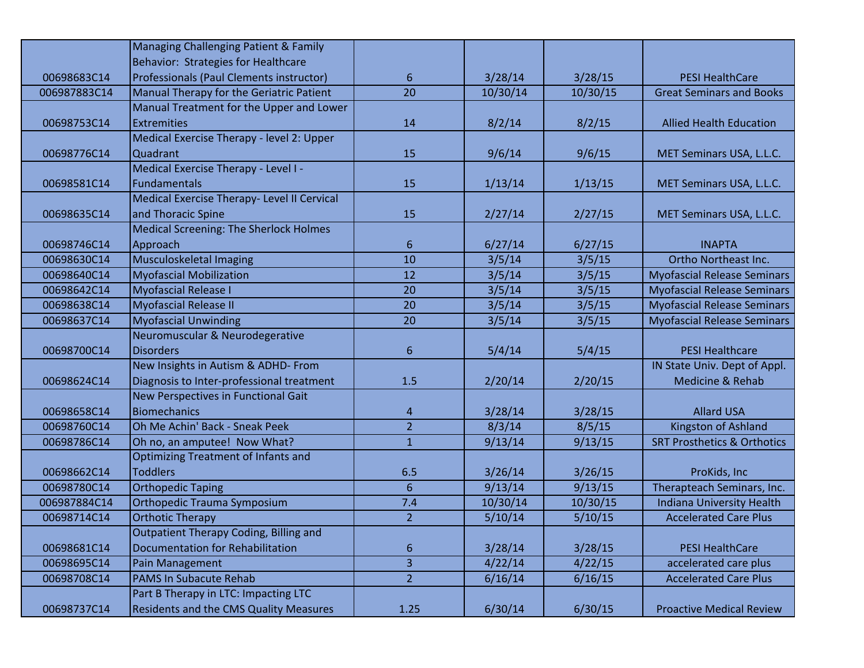|              | Managing Challenging Patient & Family         |                |          |          |                                        |
|--------------|-----------------------------------------------|----------------|----------|----------|----------------------------------------|
|              | Behavior: Strategies for Healthcare           |                |          |          |                                        |
| 00698683C14  | Professionals (Paul Clements instructor)      | 6              | 3/28/14  | 3/28/15  | <b>PESI HealthCare</b>                 |
| 006987883C14 | Manual Therapy for the Geriatric Patient      | 20             | 10/30/14 | 10/30/15 | <b>Great Seminars and Books</b>        |
|              | Manual Treatment for the Upper and Lower      |                |          |          |                                        |
| 00698753C14  | <b>Extremities</b>                            | 14             | 8/2/14   | 8/2/15   | <b>Allied Health Education</b>         |
|              | Medical Exercise Therapy - level 2: Upper     |                |          |          |                                        |
| 00698776C14  | Quadrant                                      | 15             | 9/6/14   | 9/6/15   | MET Seminars USA, L.L.C.               |
|              | Medical Exercise Therapy - Level I -          |                |          |          |                                        |
| 00698581C14  | <b>Fundamentals</b>                           | 15             | 1/13/14  | 1/13/15  | MET Seminars USA, L.L.C.               |
|              | Medical Exercise Therapy- Level II Cervical   |                |          |          |                                        |
| 00698635C14  | and Thoracic Spine                            | 15             | 2/27/14  | 2/27/15  | MET Seminars USA, L.L.C.               |
|              | <b>Medical Screening: The Sherlock Holmes</b> |                |          |          |                                        |
| 00698746C14  | Approach                                      | 6              | 6/27/14  | 6/27/15  | <b>INAPTA</b>                          |
| 00698630C14  | Musculoskeletal Imaging                       | 10             | 3/5/14   | 3/5/15   | Ortho Northeast Inc.                   |
| 00698640C14  | <b>Myofascial Mobilization</b>                | 12             | 3/5/14   | 3/5/15   | <b>Myofascial Release Seminars</b>     |
| 00698642C14  | <b>Myofascial Release I</b>                   | 20             | 3/5/14   | 3/5/15   | <b>Myofascial Release Seminars</b>     |
| 00698638C14  | <b>Myofascial Release II</b>                  | 20             | 3/5/14   | 3/5/15   | <b>Myofascial Release Seminars</b>     |
| 00698637C14  | <b>Myofascial Unwinding</b>                   | 20             | 3/5/14   | 3/5/15   | <b>Myofascial Release Seminars</b>     |
|              | Neuromuscular & Neurodegerative               |                |          |          |                                        |
| 00698700C14  | <b>Disorders</b>                              | 6              | 5/4/14   | 5/4/15   | <b>PESI Healthcare</b>                 |
|              | New Insights in Autism & ADHD- From           |                |          |          | IN State Univ. Dept of Appl.           |
| 00698624C14  | Diagnosis to Inter-professional treatment     | 1.5            | 2/20/14  | 2/20/15  | Medicine & Rehab                       |
|              | <b>New Perspectives in Functional Gait</b>    |                |          |          |                                        |
| 00698658C14  | <b>Biomechanics</b>                           | 4              | 3/28/14  | 3/28/15  | <b>Allard USA</b>                      |
| 00698760C14  | Oh Me Achin' Back - Sneak Peek                | $\overline{2}$ | 8/3/14   | 8/5/15   | Kingston of Ashland                    |
| 00698786C14  | Oh no, an amputee! Now What?                  | $\mathbf{1}$   | 9/13/14  | 9/13/15  | <b>SRT Prosthetics &amp; Orthotics</b> |
|              | <b>Optimizing Treatment of Infants and</b>    |                |          |          |                                        |
| 00698662C14  | <b>Toddlers</b>                               | 6.5            | 3/26/14  | 3/26/15  | ProKids, Inc                           |
| 00698780C14  | <b>Orthopedic Taping</b>                      | 6              | 9/13/14  | 9/13/15  | Therapteach Seminars, Inc.             |
| 006987884C14 | <b>Orthopedic Trauma Symposium</b>            | 7.4            | 10/30/14 | 10/30/15 | Indiana University Health              |
| 00698714C14  | <b>Orthotic Therapy</b>                       | $\overline{2}$ | 5/10/14  | 5/10/15  | <b>Accelerated Care Plus</b>           |
|              | <b>Outpatient Therapy Coding, Billing and</b> |                |          |          |                                        |
| 00698681C14  | <b>Documentation for Rehabilitation</b>       | 6              | 3/28/14  | 3/28/15  | <b>PESI HealthCare</b>                 |
| 00698695C14  | Pain Management                               | 3              | 4/22/14  | 4/22/15  | accelerated care plus                  |
| 00698708C14  | PAMS In Subacute Rehab                        | $\overline{2}$ | 6/16/14  | 6/16/15  | <b>Accelerated Care Plus</b>           |
|              | Part B Therapy in LTC: Impacting LTC          |                |          |          |                                        |
| 00698737C14  | <b>Residents and the CMS Quality Measures</b> | 1.25           | 6/30/14  | 6/30/15  | <b>Proactive Medical Review</b>        |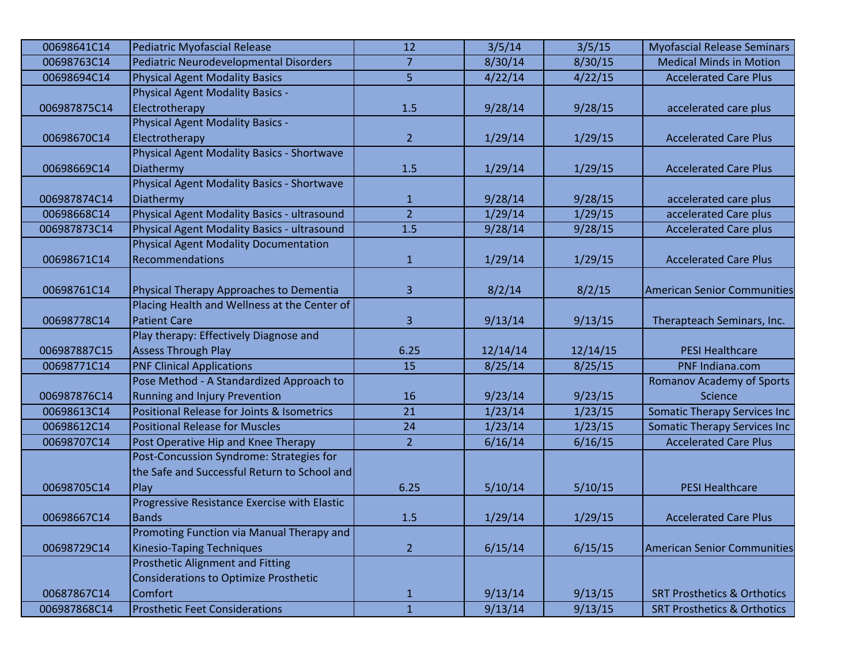| 00698641C14  | Pediatric Myofascial Release                      | 12             | 3/5/14   | 3/5/15   | <b>Myofascial Release Seminars</b>     |
|--------------|---------------------------------------------------|----------------|----------|----------|----------------------------------------|
| 00698763C14  | Pediatric Neurodevelopmental Disorders            | $\overline{7}$ | 8/30/14  | 8/30/15  | <b>Medical Minds in Motion</b>         |
| 00698694C14  | <b>Physical Agent Modality Basics</b>             | 5              | 4/22/14  | 4/22/15  | <b>Accelerated Care Plus</b>           |
|              | <b>Physical Agent Modality Basics -</b>           |                |          |          |                                        |
| 006987875C14 | Electrotherapy                                    | 1.5            | 9/28/14  | 9/28/15  | accelerated care plus                  |
|              | Physical Agent Modality Basics -                  |                |          |          |                                        |
| 00698670C14  | Electrotherapy                                    | $\overline{2}$ | 1/29/14  | 1/29/15  | <b>Accelerated Care Plus</b>           |
|              | <b>Physical Agent Modality Basics - Shortwave</b> |                |          |          |                                        |
| 00698669C14  | Diathermy                                         | 1.5            | 1/29/14  | 1/29/15  | <b>Accelerated Care Plus</b>           |
|              | Physical Agent Modality Basics - Shortwave        |                |          |          |                                        |
| 006987874C14 | Diathermy                                         | $\mathbf{1}$   | 9/28/14  | 9/28/15  | accelerated care plus                  |
| 00698668C14  | Physical Agent Modality Basics - ultrasound       | $\overline{2}$ | 1/29/14  | 1/29/15  | accelerated Care plus                  |
| 006987873C14 | Physical Agent Modality Basics - ultrasound       | 1.5            | 9/28/14  | 9/28/15  | <b>Accelerated Care plus</b>           |
|              | Physical Agent Modality Documentation             |                |          |          |                                        |
| 00698671C14  | <b>Recommendations</b>                            | $\mathbf{1}$   | 1/29/14  | 1/29/15  | <b>Accelerated Care Plus</b>           |
|              |                                                   |                |          |          |                                        |
| 00698761C14  | Physical Therapy Approaches to Dementia           | 3              | 8/2/14   | 8/2/15   | <b>American Senior Communities</b>     |
|              | Placing Health and Wellness at the Center of      |                |          |          |                                        |
| 00698778C14  | <b>Patient Care</b>                               | 3              | 9/13/14  | 9/13/15  | Therapteach Seminars, Inc.             |
|              | Play therapy: Effectively Diagnose and            |                |          |          |                                        |
| 006987887C15 | Assess Through Play                               | 6.25           | 12/14/14 | 12/14/15 | <b>PESI Healthcare</b>                 |
| 00698771C14  | <b>PNF Clinical Applications</b>                  | 15             | 8/25/14  | 8/25/15  | PNF Indiana.com                        |
|              | Pose Method - A Standardized Approach to          |                |          |          | <b>Romanov Academy of Sports</b>       |
| 006987876C14 | <b>Running and Injury Prevention</b>              | 16             | 9/23/14  | 9/23/15  | Science                                |
| 00698613C14  | Positional Release for Joints & Isometrics        | 21             | 1/23/14  | 1/23/15  | <b>Somatic Therapy Services Inc</b>    |
| 00698612C14  | <b>Positional Release for Muscles</b>             | 24             | 1/23/14  | 1/23/15  | <b>Somatic Therapy Services Inc</b>    |
| 00698707C14  | Post Operative Hip and Knee Therapy               | $\overline{2}$ | 6/16/14  | 6/16/15  | <b>Accelerated Care Plus</b>           |
|              | Post-Concussion Syndrome: Strategies for          |                |          |          |                                        |
|              | the Safe and Successful Return to School and      |                |          |          |                                        |
| 00698705C14  | Play                                              | 6.25           | 5/10/14  | 5/10/15  | <b>PESI Healthcare</b>                 |
|              | Progressive Resistance Exercise with Elastic      |                |          |          |                                        |
| 00698667C14  | <b>Bands</b>                                      | 1.5            | 1/29/14  | 1/29/15  | <b>Accelerated Care Plus</b>           |
|              | Promoting Function via Manual Therapy and         |                |          |          |                                        |
| 00698729C14  | <b>Kinesio-Taping Techniques</b>                  | $\overline{2}$ | 6/15/14  | 6/15/15  | <b>American Senior Communities</b>     |
|              | <b>Prosthetic Alignment and Fitting</b>           |                |          |          |                                        |
|              | Considerations to Optimize Prosthetic             |                |          |          |                                        |
| 00687867C14  | <b>Comfort</b>                                    | $\mathbf{1}$   | 9/13/14  | 9/13/15  | <b>SRT Prosthetics &amp; Orthotics</b> |
| 006987868C14 | <b>Prosthetic Feet Considerations</b>             | $\mathbf 1$    | 9/13/14  | 9/13/15  | <b>SRT Prosthetics &amp; Orthotics</b> |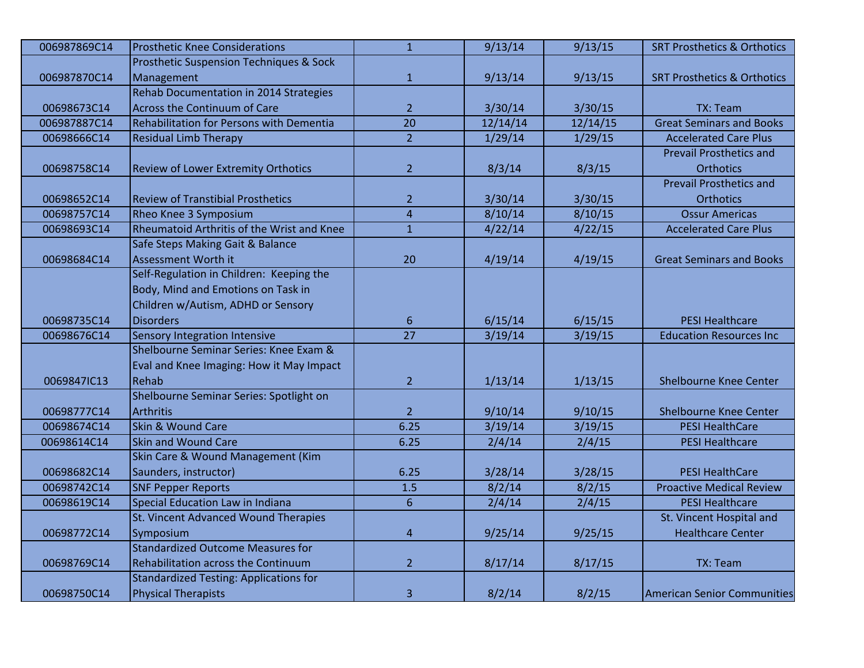| 006987869C14 | <b>Prosthetic Knee Considerations</b>              | $\overline{1}$  | 9/13/14  | 9/13/15  | <b>SRT Prosthetics &amp; Orthotics</b> |
|--------------|----------------------------------------------------|-----------------|----------|----------|----------------------------------------|
|              | <b>Prosthetic Suspension Techniques &amp; Sock</b> |                 |          |          |                                        |
| 006987870C14 | Management                                         | $\mathbf{1}$    | 9/13/14  | 9/13/15  | <b>SRT Prosthetics &amp; Orthotics</b> |
|              | Rehab Documentation in 2014 Strategies             |                 |          |          |                                        |
| 00698673C14  | Across the Continuum of Care                       | $\overline{2}$  | 3/30/14  | 3/30/15  | <b>TX: Team</b>                        |
| 006987887C14 | Rehabilitation for Persons with Dementia           | 20              | 12/14/14 | 12/14/15 | <b>Great Seminars and Books</b>        |
| 00698666C14  | <b>Residual Limb Therapy</b>                       | $\overline{2}$  | 1/29/14  | 1/29/15  | <b>Accelerated Care Plus</b>           |
|              |                                                    |                 |          |          | <b>Prevail Prosthetics and</b>         |
| 00698758C14  | Review of Lower Extremity Orthotics                | $\overline{2}$  | 8/3/14   | 8/3/15   | <b>Orthotics</b>                       |
|              |                                                    |                 |          |          | <b>Prevail Prosthetics and</b>         |
| 00698652C14  | <b>Review of Transtibial Prosthetics</b>           | $\overline{2}$  | 3/30/14  | 3/30/15  | <b>Orthotics</b>                       |
| 00698757C14  | Rheo Knee 3 Symposium                              | $\overline{4}$  | 8/10/14  | 8/10/15  | <b>Ossur Americas</b>                  |
| 00698693C14  | Rheumatoid Arthritis of the Wrist and Knee         | $\mathbf{1}$    | 4/22/14  | 4/22/15  | <b>Accelerated Care Plus</b>           |
|              | Safe Steps Making Gait & Balance                   |                 |          |          |                                        |
| 00698684C14  | Assessment Worth it                                | 20              | 4/19/14  | 4/19/15  | <b>Great Seminars and Books</b>        |
|              | Self-Regulation in Children: Keeping the           |                 |          |          |                                        |
|              | Body, Mind and Emotions on Task in                 |                 |          |          |                                        |
|              | Children w/Autism, ADHD or Sensory                 |                 |          |          |                                        |
| 00698735C14  | <b>Disorders</b>                                   | 6               | 6/15/14  | 6/15/15  | <b>PESI Healthcare</b>                 |
| 00698676C14  | <b>Sensory Integration Intensive</b>               | $\overline{27}$ | 3/19/14  | 3/19/15  | <b>Education Resources Inc</b>         |
|              | Shelbourne Seminar Series: Knee Exam &             |                 |          |          |                                        |
|              | Eval and Knee Imaging: How it May Impact           |                 |          |          |                                        |
| 0069847IC13  | Rehab                                              | $\overline{2}$  | 1/13/14  | 1/13/15  | <b>Shelbourne Knee Center</b>          |
|              | Shelbourne Seminar Series: Spotlight on            |                 |          |          |                                        |
| 00698777C14  | Arthritis                                          | $\overline{2}$  | 9/10/14  | 9/10/15  | <b>Shelbourne Knee Center</b>          |
| 00698674C14  | Skin & Wound Care                                  | 6.25            | 3/19/14  | 3/19/15  | <b>PESI HealthCare</b>                 |
| 00698614C14  | Skin and Wound Care                                | 6.25            | 2/4/14   | 2/4/15   | <b>PESI Healthcare</b>                 |
|              | Skin Care & Wound Management (Kim                  |                 |          |          |                                        |
| 00698682C14  | Saunders, instructor)                              | 6.25            | 3/28/14  | 3/28/15  | <b>PESI HealthCare</b>                 |
| 00698742C14  | <b>SNF Pepper Reports</b>                          | 1.5             | 8/2/14   | 8/2/15   | <b>Proactive Medical Review</b>        |
| 00698619C14  | <b>Special Education Law in Indiana</b>            | $6\phantom{1}$  | 2/4/14   | 2/4/15   | <b>PESI Healthcare</b>                 |
|              | St. Vincent Advanced Wound Therapies               |                 |          |          | St. Vincent Hospital and               |
| 00698772C14  | Symposium                                          | $\overline{4}$  | 9/25/14  | 9/25/15  | <b>Healthcare Center</b>               |
|              | <b>Standardized Outcome Measures for</b>           |                 |          |          |                                        |
| 00698769C14  | Rehabilitation across the Continuum                | $\overline{2}$  | 8/17/14  | 8/17/15  | TX: Team                               |
|              | <b>Standardized Testing: Applications for</b>      |                 |          |          |                                        |
| 00698750C14  | <b>Physical Therapists</b>                         | 3               | 8/2/14   | 8/2/15   | <b>American Senior Communities</b>     |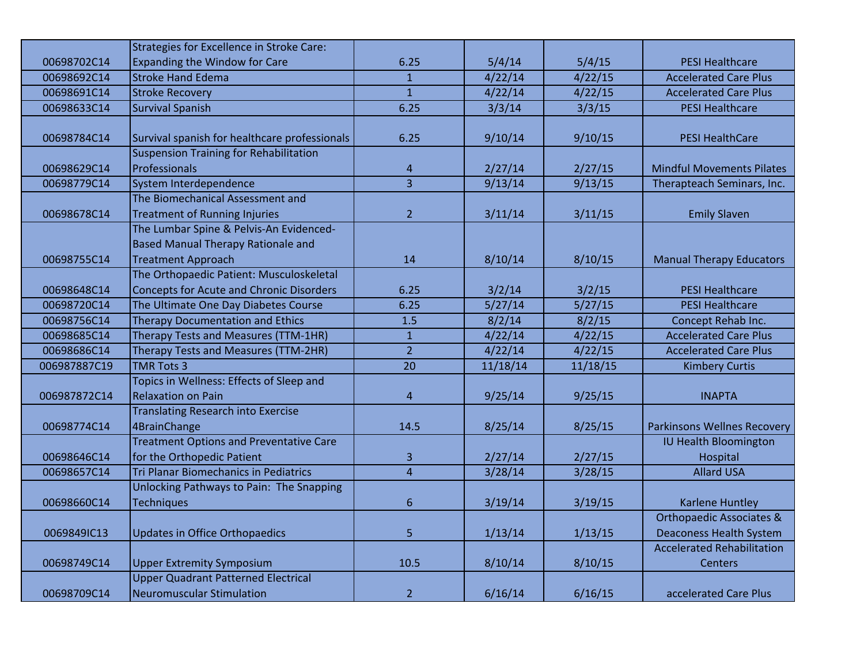|              | <b>Strategies for Excellence in Stroke Care:</b> |                |          |          |                                     |
|--------------|--------------------------------------------------|----------------|----------|----------|-------------------------------------|
| 00698702C14  | <b>Expanding the Window for Care</b>             | 6.25           | 5/4/14   | 5/4/15   | <b>PESI Healthcare</b>              |
| 00698692C14  | <b>Stroke Hand Edema</b>                         | $\mathbf{1}$   | 4/22/14  | 4/22/15  | <b>Accelerated Care Plus</b>        |
| 00698691C14  | <b>Stroke Recovery</b>                           | $\mathbf{1}$   | 4/22/14  | 4/22/15  | <b>Accelerated Care Plus</b>        |
| 00698633C14  | <b>Survival Spanish</b>                          | 6.25           | 3/3/14   | 3/3/15   | <b>PESI Healthcare</b>              |
|              |                                                  |                |          |          |                                     |
| 00698784C14  | Survival spanish for healthcare professionals    | 6.25           | 9/10/14  | 9/10/15  | <b>PESI HealthCare</b>              |
|              | <b>Suspension Training for Rehabilitation</b>    |                |          |          |                                     |
| 00698629C14  | Professionals                                    | 4              | 2/27/14  | 2/27/15  | <b>Mindful Movements Pilates</b>    |
| 00698779C14  | System Interdependence                           | $\overline{3}$ | 9/13/14  | 9/13/15  | Therapteach Seminars, Inc.          |
|              | The Biomechanical Assessment and                 |                |          |          |                                     |
| 00698678C14  | <b>Treatment of Running Injuries</b>             | $\overline{2}$ | 3/11/14  | 3/11/15  | <b>Emily Slaven</b>                 |
|              | The Lumbar Spine & Pelvis-An Evidenced-          |                |          |          |                                     |
|              | <b>Based Manual Therapy Rationale and</b>        |                |          |          |                                     |
| 00698755C14  | <b>Treatment Approach</b>                        | 14             | 8/10/14  | 8/10/15  | <b>Manual Therapy Educators</b>     |
|              | The Orthopaedic Patient: Musculoskeletal         |                |          |          |                                     |
| 00698648C14  | <b>Concepts for Acute and Chronic Disorders</b>  | 6.25           | 3/2/14   | 3/2/15   | <b>PESI Healthcare</b>              |
| 00698720C14  | The Ultimate One Day Diabetes Course             | 6.25           | 5/27/14  | 5/27/15  | <b>PESI Healthcare</b>              |
| 00698756C14  | <b>Therapy Documentation and Ethics</b>          | 1.5            | 8/2/14   | 8/2/15   | Concept Rehab Inc.                  |
| 00698685C14  | Therapy Tests and Measures (TTM-1HR)             | $\mathbf{1}$   | 4/22/14  | 4/22/15  | <b>Accelerated Care Plus</b>        |
| 00698686C14  | Therapy Tests and Measures (TTM-2HR)             | $\overline{2}$ | 4/22/14  | 4/22/15  | <b>Accelerated Care Plus</b>        |
| 006987887C19 | <b>TMR Tots 3</b>                                | 20             | 11/18/14 | 11/18/15 | <b>Kimbery Curtis</b>               |
|              | Topics in Wellness: Effects of Sleep and         |                |          |          |                                     |
| 006987872C14 | <b>Relaxation on Pain</b>                        | 4              | 9/25/14  | 9/25/15  | <b>INAPTA</b>                       |
|              | <b>Translating Research into Exercise</b>        |                |          |          |                                     |
| 00698774C14  | 4BrainChange                                     | 14.5           | 8/25/14  | 8/25/15  | Parkinsons Wellnes Recovery         |
|              | <b>Treatment Options and Preventative Care</b>   |                |          |          | <b>IU Health Bloomington</b>        |
| 00698646C14  | for the Orthopedic Patient                       | 3              | 2/27/14  | 2/27/15  | Hospital                            |
| 00698657C14  | <b>Tri Planar Biomechanics in Pediatrics</b>     | $\overline{4}$ | 3/28/14  | 3/28/15  | <b>Allard USA</b>                   |
|              | Unlocking Pathways to Pain: The Snapping         |                |          |          |                                     |
| 00698660C14  | <b>Techniques</b>                                | 6              | 3/19/14  | 3/19/15  | Karlene Huntley                     |
|              |                                                  |                |          |          | <b>Orthopaedic Associates &amp;</b> |
| 0069849IC13  | Updates in Office Orthopaedics                   | 5              | 1/13/14  | 1/13/15  | <b>Deaconess Health System</b>      |
|              |                                                  |                |          |          | <b>Accelerated Rehabilitation</b>   |
| 00698749C14  | <b>Upper Extremity Symposium</b>                 | 10.5           | 8/10/14  | 8/10/15  | <b>Centers</b>                      |
|              | <b>Upper Quadrant Patterned Electrical</b>       |                |          |          |                                     |
| 00698709C14  | <b>Neuromuscular Stimulation</b>                 | $\overline{2}$ | 6/16/14  | 6/16/15  | accelerated Care Plus               |